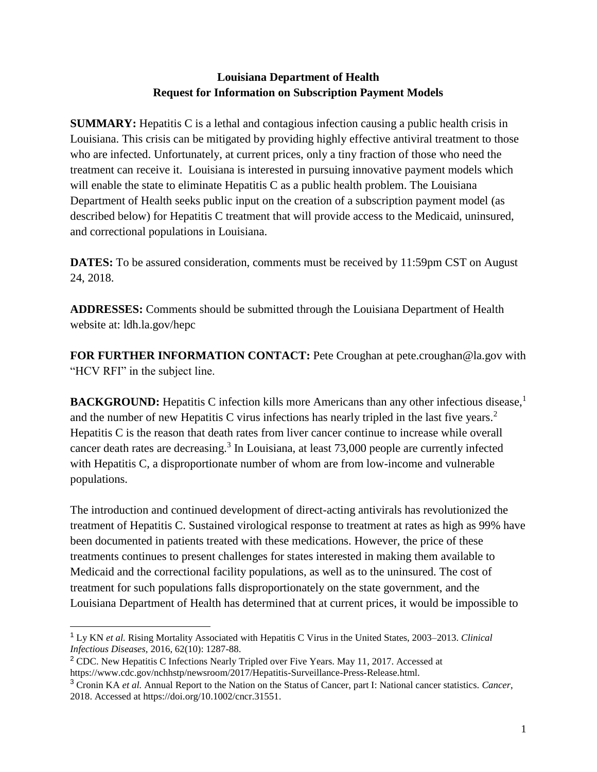## **Louisiana Department of Health Request for Information on Subscription Payment Models**

**SUMMARY:** Hepatitis C is a lethal and contagious infection causing a public health crisis in Louisiana. This crisis can be mitigated by providing highly effective antiviral treatment to those who are infected. Unfortunately, at current prices, only a tiny fraction of those who need the treatment can receive it. Louisiana is interested in pursuing innovative payment models which will enable the state to eliminate Hepatitis C as a public health problem. The Louisiana Department of Health seeks public input on the creation of a subscription payment model (as described below) for Hepatitis C treatment that will provide access to the Medicaid, uninsured, and correctional populations in Louisiana.

**DATES:** To be assured consideration, comments must be received by 11:59pm CST on August 24, 2018.

**ADDRESSES:** Comments should be submitted through the Louisiana Department of Health website at: ldh.la.gov/hepc

**FOR FURTHER INFORMATION CONTACT:** Pete Croughan at pete.croughan@la.gov with "HCV RFI" in the subject line.

**BACKGROUND:** Hepatitis C infection kills more Americans than any other infectious disease,<sup>1</sup> and the number of new Hepatitis C virus infections has nearly tripled in the last five years.<sup>2</sup> Hepatitis C is the reason that death rates from liver cancer continue to increase while overall cancer death rates are decreasing.<sup>3</sup> In Louisiana, at least 73,000 people are currently infected with Hepatitis C, a disproportionate number of whom are from low-income and vulnerable populations.

The introduction and continued development of direct-acting antivirals has revolutionized the treatment of Hepatitis C. Sustained virological response to treatment at rates as high as 99% have been documented in patients treated with these medications. However, the price of these treatments continues to present challenges for states interested in making them available to Medicaid and the correctional facility populations, as well as to the uninsured. The cost of treatment for such populations falls disproportionately on the state government, and the Louisiana Department of Health has determined that at current prices, it would be impossible to

 $\overline{a}$ 

<sup>1</sup> Ly KN *et al.* Rising Mortality Associated with Hepatitis C Virus in the United States, 2003–2013. *Clinical Infectious Diseases,* 2016, 62(10): 1287-88.

<sup>2</sup> CDC. New Hepatitis C Infections Nearly Tripled over Five Years. May 11, 2017. Accessed at https://www.cdc.gov/nchhstp/newsroom/2017/Hepatitis-Surveillance-Press-Release.html.

<sup>3</sup> Cronin KA *et al.* Annual Report to the Nation on the Status of Cancer, part I: National cancer statistics. *Cancer*, 2018. Accessed at https://doi.org/10.1002/cncr.31551.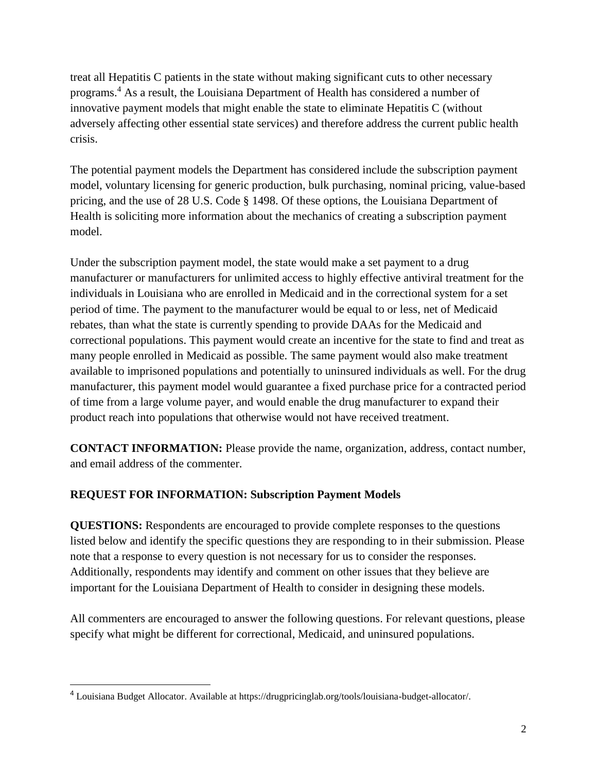treat all Hepatitis C patients in the state without making significant cuts to other necessary programs.<sup>4</sup> As a result, the Louisiana Department of Health has considered a number of innovative payment models that might enable the state to eliminate Hepatitis C (without adversely affecting other essential state services) and therefore address the current public health crisis.

The potential payment models the Department has considered include the subscription payment model, voluntary licensing for generic production, bulk purchasing, nominal pricing, value-based pricing, and the use of 28 U.S. Code § 1498. Of these options, the Louisiana Department of Health is soliciting more information about the mechanics of creating a subscription payment model.

Under the subscription payment model, the state would make a set payment to a drug manufacturer or manufacturers for unlimited access to highly effective antiviral treatment for the individuals in Louisiana who are enrolled in Medicaid and in the correctional system for a set period of time. The payment to the manufacturer would be equal to or less, net of Medicaid rebates, than what the state is currently spending to provide DAAs for the Medicaid and correctional populations. This payment would create an incentive for the state to find and treat as many people enrolled in Medicaid as possible. The same payment would also make treatment available to imprisoned populations and potentially to uninsured individuals as well. For the drug manufacturer, this payment model would guarantee a fixed purchase price for a contracted period of time from a large volume payer, and would enable the drug manufacturer to expand their product reach into populations that otherwise would not have received treatment.

**CONTACT INFORMATION:** Please provide the name, organization, address, contact number, and email address of the commenter.

## **REQUEST FOR INFORMATION: Subscription Payment Models**

**QUESTIONS:** Respondents are encouraged to provide complete responses to the questions listed below and identify the specific questions they are responding to in their submission. Please note that a response to every question is not necessary for us to consider the responses. Additionally, respondents may identify and comment on other issues that they believe are important for the Louisiana Department of Health to consider in designing these models.

All commenters are encouraged to answer the following questions. For relevant questions, please specify what might be different for correctional, Medicaid, and uninsured populations.

<sup>4</sup> Louisiana Budget Allocator. Available at https://drugpricinglab.org/tools/louisiana-budget-allocator/.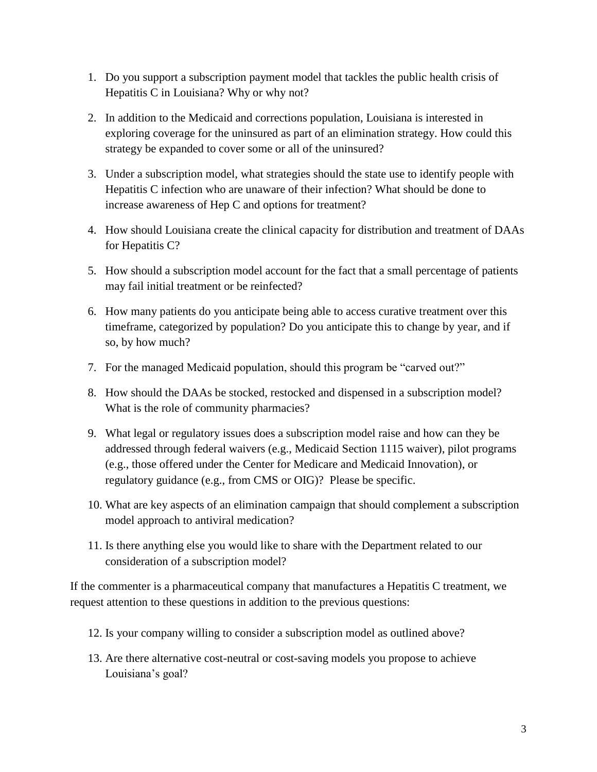- 1. Do you support a subscription payment model that tackles the public health crisis of Hepatitis C in Louisiana? Why or why not?
- 2. In addition to the Medicaid and corrections population, Louisiana is interested in exploring coverage for the uninsured as part of an elimination strategy. How could this strategy be expanded to cover some or all of the uninsured?
- 3. Under a subscription model, what strategies should the state use to identify people with Hepatitis C infection who are unaware of their infection? What should be done to increase awareness of Hep C and options for treatment?
- 4. How should Louisiana create the clinical capacity for distribution and treatment of DAAs for Hepatitis C?
- 5. How should a subscription model account for the fact that a small percentage of patients may fail initial treatment or be reinfected?
- 6. How many patients do you anticipate being able to access curative treatment over this timeframe, categorized by population? Do you anticipate this to change by year, and if so, by how much?
- 7. For the managed Medicaid population, should this program be "carved out?"
- 8. How should the DAAs be stocked, restocked and dispensed in a subscription model? What is the role of community pharmacies?
- 9. What legal or regulatory issues does a subscription model raise and how can they be addressed through federal waivers (e.g., Medicaid Section 1115 waiver), pilot programs (e.g., those offered under the Center for Medicare and Medicaid Innovation), or regulatory guidance (e.g., from CMS or OIG)? Please be specific.
- 10. What are key aspects of an elimination campaign that should complement a subscription model approach to antiviral medication?
- 11. Is there anything else you would like to share with the Department related to our consideration of a subscription model?

If the commenter is a pharmaceutical company that manufactures a Hepatitis C treatment, we request attention to these questions in addition to the previous questions:

- 12. Is your company willing to consider a subscription model as outlined above?
- 13. Are there alternative cost-neutral or cost-saving models you propose to achieve Louisiana's goal?